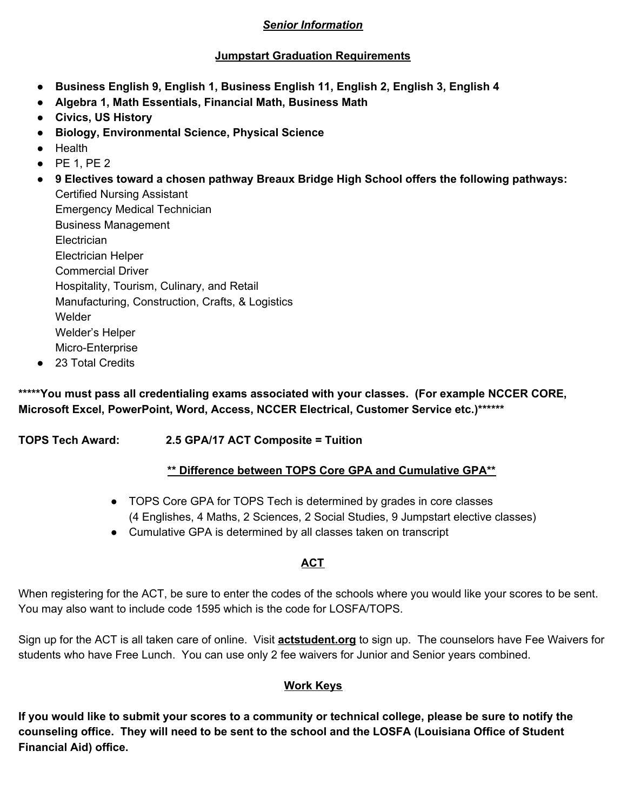## *Senior Information*

## **Jumpstart Graduation Requirements**

- **● Business English 9, English 1, Business English 11, English 2, English 3, English 4**
- **● Algebra 1, Math Essentials, Financial Math, Business Math**
- **● Civics, US History**
- **● Biology, Environmental Science, Physical Science**
- Health
- PE 1, PE 2
- **● 9 Electives toward a chosen pathway Breaux Bridge High School offers the following pathways:** Certified Nursing Assistant Emergency Medical Technician Business Management **Electrician** Electrician Helper Commercial Driver Hospitality, Tourism, Culinary, and Retail Manufacturing, Construction, Crafts, & Logistics Welder Welder's Helper
	- Micro-Enterprise
- 23 Total Credits

**\*\*\*\*\*You must pass all credentialing exams associated with your classes. (For example NCCER CORE, Microsoft Excel, PowerPoint, Word, Access, NCCER Electrical, Customer Service etc.)\*\*\*\*\*\***

**TOPS Tech Award: 2.5 GPA/17 ACT Composite = Tuition**

## **\*\* Difference between TOPS Core GPA and Cumulative GPA\*\***

- TOPS Core GPA for TOPS Tech is determined by grades in core classes (4 Englishes, 4 Maths, 2 Sciences, 2 Social Studies, 9 Jumpstart elective classes)
- Cumulative GPA is determined by all classes taken on transcript

# **ACT**

When registering for the ACT, be sure to enter the codes of the schools where you would like your scores to be sent. You may also want to include code 1595 which is the code for LOSFA/TOPS.

Sign up for the ACT is all taken care of online. Visit **actstudent.org** to sign up. The counselors have Fee Waivers for students who have Free Lunch. You can use only 2 fee waivers for Junior and Senior years combined.

# **Work Keys**

If you would like to submit your scores to a community or technical college, please be sure to notify the counseling office. They will need to be sent to the school and the LOSFA (Louisiana Office of Student **Financial Aid) office.**